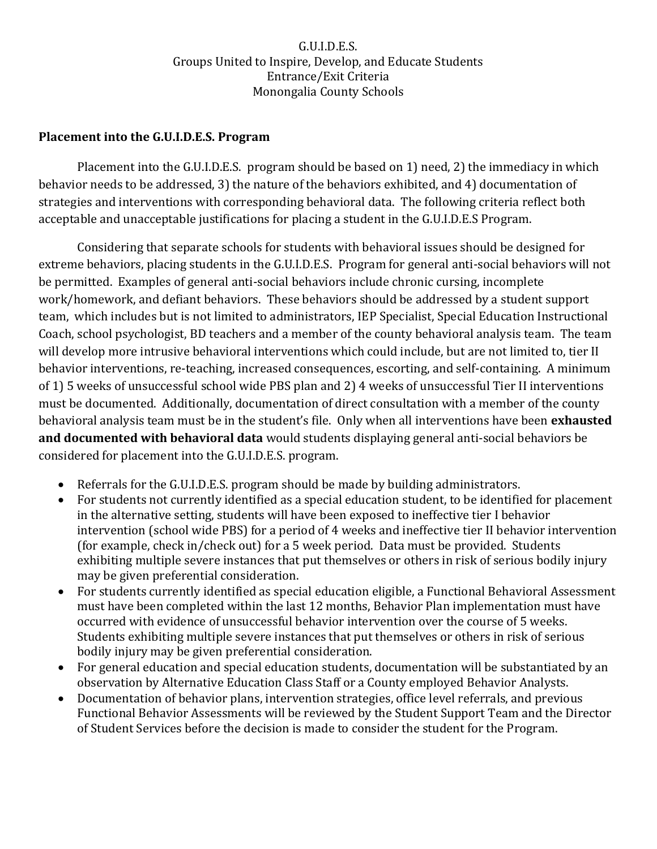## G.U.I.D.E.S. Groups United to Inspire, Develop, and Educate Students Entrance/Exit Criteria Monongalia County Schools

## **Placement into the G.U.I.D.E.S. Program**

Placement into the G.U.I.D.E.S. program should be based on 1) need, 2) the immediacy in which behavior needs to be addressed, 3) the nature of the behaviors exhibited, and 4) documentation of strategies and interventions with corresponding behavioral data. The following criteria reflect both acceptable and unacceptable justifications for placing a student in the G.U.I.D.E.S Program.

Considering that separate schools for students with behavioral issues should be designed for extreme behaviors, placing students in the G.U.I.D.E.S. Program for general anti-social behaviors will not be permitted. Examples of general anti-social behaviors include chronic cursing, incomplete work/homework, and defiant behaviors. These behaviors should be addressed by a student support team, which includes but is not limited to administrators, IEP Specialist, Special Education Instructional Coach, school psychologist, BD teachers and a member of the county behavioral analysis team. The team will develop more intrusive behavioral interventions which could include, but are not limited to, tier II behavior interventions, re-teaching, increased consequences, escorting, and self-containing. A minimum of 1) 5 weeks of unsuccessful school wide PBS plan and 2) 4 weeks of unsuccessful Tier II interventions must be documented. Additionally, documentation of direct consultation with a member of the county behavioral analysis team must be in the student's file. Only when all interventions have been **exhausted and documented with behavioral data** would students displaying general anti-social behaviors be considered for placement into the G.U.I.D.E.S. program.

- Referrals for the G.U.I.D.E.S. program should be made by building administrators.
- For students not currently identified as a special education student, to be identified for placement in the alternative setting, students will have been exposed to ineffective tier I behavior intervention (school wide PBS) for a period of 4 weeks and ineffective tier II behavior intervention (for example, check in/check out) for a 5 week period. Data must be provided. Students exhibiting multiple severe instances that put themselves or others in risk of serious bodily injury may be given preferential consideration.
- For students currently identified as special education eligible, a Functional Behavioral Assessment must have been completed within the last 12 months, Behavior Plan implementation must have occurred with evidence of unsuccessful behavior intervention over the course of 5 weeks. Students exhibiting multiple severe instances that put themselves or others in risk of serious bodily injury may be given preferential consideration.
- For general education and special education students, documentation will be substantiated by an observation by Alternative Education Class Staff or a County employed Behavior Analysts.
- Documentation of behavior plans, intervention strategies, office level referrals, and previous Functional Behavior Assessments will be reviewed by the Student Support Team and the Director of Student Services before the decision is made to consider the student for the Program.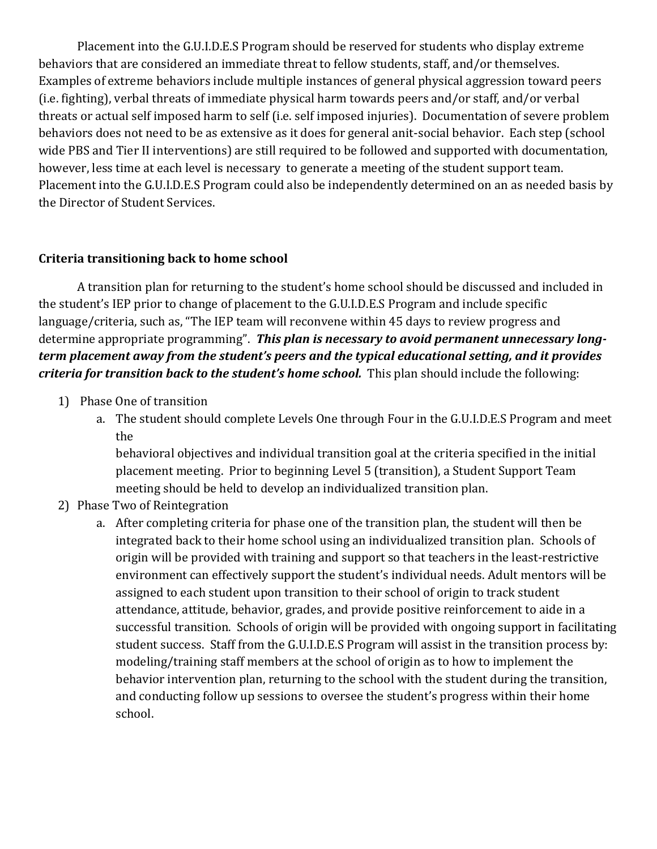Placement into the G.U.I.D.E.S Program should be reserved for students who display extreme behaviors that are considered an immediate threat to fellow students, staff, and/or themselves. Examples of extreme behaviors include multiple instances of general physical aggression toward peers (i.e. fighting), verbal threats of immediate physical harm towards peers and/or staff, and/or verbal threats or actual self imposed harm to self (i.e. self imposed injuries). Documentation of severe problem behaviors does not need to be as extensive as it does for general anit-social behavior. Each step (school wide PBS and Tier II interventions) are still required to be followed and supported with documentation, however, less time at each level is necessary to generate a meeting of the student support team. Placement into the G.U.I.D.E.S Program could also be independently determined on an as needed basis by the Director of Student Services.

## **Criteria transitioning back to home school**

A transition plan for returning to the student's home school should be discussed and included in the student's IEP prior to change of placement to the G.U.I.D.E.S Program and include specific language/criteria, such as, "The IEP team will reconvene within 45 days to review progress and determine appropriate programming". *This plan is necessary to avoid permanent unnecessary longterm placement away from the student's peers and the typical educational setting, and it provides criteria for transition back to the student's home school.*This plan should include the following:

- 1) Phase One of transition
	- a. The student should complete Levels One through Four in the G.U.I.D.E.S Program and meet the

behavioral objectives and individual transition goal at the criteria specified in the initial placement meeting. Prior to beginning Level 5 (transition), a Student Support Team meeting should be held to develop an individualized transition plan.

- 2) Phase Two of Reintegration
	- a. After completing criteria for phase one of the transition plan, the student will then be integrated back to their home school using an individualized transition plan. Schools of origin will be provided with training and support so that teachers in the least-restrictive environment can effectively support the student's individual needs. Adult mentors will be assigned to each student upon transition to their school of origin to track student attendance, attitude, behavior, grades, and provide positive reinforcement to aide in a successful transition. Schools of origin will be provided with ongoing support in facilitating student success. Staff from the G.U.I.D.E.S Program will assist in the transition process by: modeling/training staff members at the school of origin as to how to implement the behavior intervention plan, returning to the school with the student during the transition, and conducting follow up sessions to oversee the student's progress within their home school.